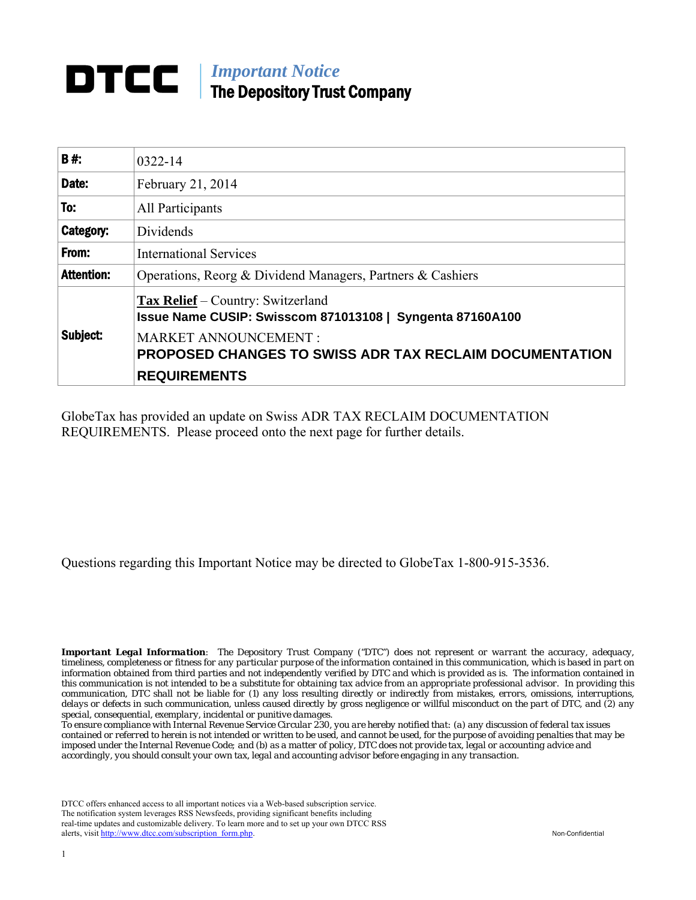## *Important Notice* The Depository Trust Company

| <b>B#</b>         | 0322-14                                                                                                                                                                                                |  |
|-------------------|--------------------------------------------------------------------------------------------------------------------------------------------------------------------------------------------------------|--|
| Date:             | February 21, 2014                                                                                                                                                                                      |  |
| To:               | All Participants                                                                                                                                                                                       |  |
| Category:         | Dividends                                                                                                                                                                                              |  |
| From:             | <b>International Services</b>                                                                                                                                                                          |  |
| <b>Attention:</b> | Operations, Reorg & Dividend Managers, Partners & Cashiers                                                                                                                                             |  |
| Subject:          | <b>Tax Relief</b> – Country: Switzerland<br>Issue Name CUSIP: Swisscom 871013108   Syngenta 87160A100<br><b>MARKET ANNOUNCEMENT:</b><br><b>PROPOSED CHANGES TO SWISS ADR TAX RECLAIM DOCUMENTATION</b> |  |
|                   | <b>REQUIREMENTS</b>                                                                                                                                                                                    |  |

GlobeTax has provided an update on Swiss ADR TAX RECLAIM DOCUMENTATION REQUIREMENTS. Please proceed onto the next page for further details.

Questions regarding this Important Notice may be directed to GlobeTax 1-800-915-3536.

*Important Legal Information: The Depository Trust Company ("DTC") does not represent or warrant the accuracy, adequacy, timeliness, completeness or fitness for any particular purpose of the information contained in this communication, which is based in part on information obtained from third parties and not independently verified by DTC and which is provided as is. The information contained in this communication is not intended to be a substitute for obtaining tax advice from an appropriate professional advisor. In providing this communication, DTC shall not be liable for (1) any loss resulting directly or indirectly from mistakes, errors, omissions, interruptions, delays or defects in such communication, unless caused directly by gross negligence or willful misconduct on the part of DTC, and (2) any special, consequential, exemplary, incidental or punitive damages.*

*To ensure compliance with Internal Revenue Service Circular 230, you are hereby notified that: (a) any discussion of federal tax issues contained or referred to herein is not intended or written to be used, and cannot be used, for the purpose of avoiding penalties that may be imposed under the Internal Revenue Code; and (b) as a matter of policy, DTC does not provide tax, legal or accounting advice and accordingly, you should consult your own tax, legal and accounting advisor before engaging in any transaction.*

DTCC offers enhanced access to all important notices via a Web-based subscription service. The notification system leverages RSS Newsfeeds, providing significant benefits including real-time updates and customizable delivery. To learn more and to set up your own DTCC RSS alerts, visit [http://www.dtcc.com/subscription\\_form.php.](http://www.dtcc.com/subscription_form.php) Non-Confidential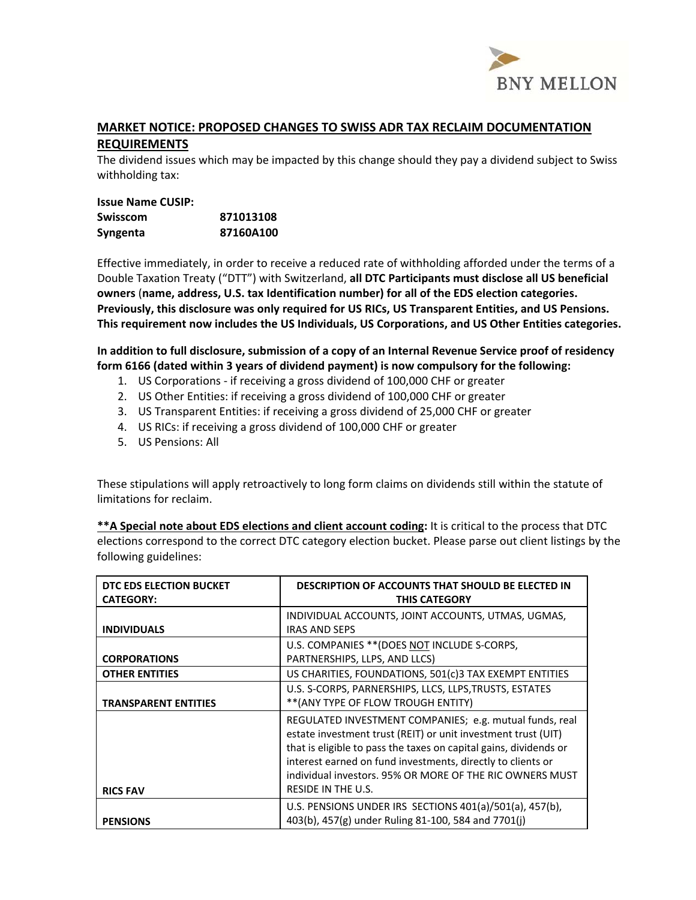

## **MARKET NOTICE: PROPOSED CHANGES TO SWISS ADR TAX RECLAIM DOCUMENTATION REQUIREMENTS**

The dividend issues which may be impacted by this change should they pay a dividend subject to Swiss withholding tax:

## **Issue Name CUSIP: Swisscom 871013108 Syngenta 87160A100**

Effective immediately, in order to receive a reduced rate of withholding afforded under the terms of a Double Taxation Treaty ("DTT") with Switzerland, **all DTC Participants must disclose all US beneficial owners** (**name, address, U.S. tax Identification number) for all of the EDS election categories. Previously, this disclosure was only required for US RICs, US Transparent Entities, and US Pensions. This requirement now includes the US Individuals, US Corporations, and US Other Entities categories.** 

**In addition to full disclosure, submission of a copy of an Internal Revenue Service proof of residency form 6166 (dated within 3 years of dividend payment) is now compulsory for the following:**

- 1. US Corporations ‐ if receiving a gross dividend of 100,000 CHF or greater
- 2. US Other Entities: if receiving a gross dividend of 100,000 CHF or greater
- 3. US Transparent Entities: if receiving a gross dividend of 25,000 CHF or greater
- 4. US RICs: if receiving a gross dividend of 100,000 CHF or greater
- 5. US Pensions: All

These stipulations will apply retroactively to long form claims on dividends still within the statute of limitations for reclaim.

**\*\*A Special note about EDS elections and client account coding:** It is critical to the process that DTC elections correspond to the correct DTC category election bucket. Please parse out client listings by the following guidelines:

| DTC EDS ELECTION BUCKET<br><b>CATEGORY:</b> | <b>DESCRIPTION OF ACCOUNTS THAT SHOULD BE ELECTED IN</b><br><b>THIS CATEGORY</b>                                                                                                                                                                                                                                                               |
|---------------------------------------------|------------------------------------------------------------------------------------------------------------------------------------------------------------------------------------------------------------------------------------------------------------------------------------------------------------------------------------------------|
| <b>INDIVIDUALS</b>                          | INDIVIDUAL ACCOUNTS, JOINT ACCOUNTS, UTMAS, UGMAS,<br><b>IRAS AND SEPS</b>                                                                                                                                                                                                                                                                     |
| <b>CORPORATIONS</b>                         | U.S. COMPANIES ** (DOES NOT INCLUDE S-CORPS,<br>PARTNERSHIPS, LLPS, AND LLCS)                                                                                                                                                                                                                                                                  |
| <b>OTHER ENTITIES</b>                       | US CHARITIES, FOUNDATIONS, 501(c)3 TAX EXEMPT ENTITIES                                                                                                                                                                                                                                                                                         |
| <b>TRANSPARENT ENTITIES</b>                 | U.S. S-CORPS, PARNERSHIPS, LLCS, LLPS, TRUSTS, ESTATES<br>** (ANY TYPE OF FLOW TROUGH ENTITY)                                                                                                                                                                                                                                                  |
| <b>RICS FAV</b>                             | REGULATED INVESTMENT COMPANIES; e.g. mutual funds, real<br>estate investment trust (REIT) or unit investment trust (UIT)<br>that is eligible to pass the taxes on capital gains, dividends or<br>interest earned on fund investments, directly to clients or<br>individual investors, 95% OR MORE OF THE RIC OWNERS MUST<br>RESIDE IN THE U.S. |
| <b>PENSIONS</b>                             | U.S. PENSIONS UNDER IRS SECTIONS 401(a)/501(a), 457(b),<br>403(b), 457(g) under Ruling 81-100, 584 and 7701(j)                                                                                                                                                                                                                                 |